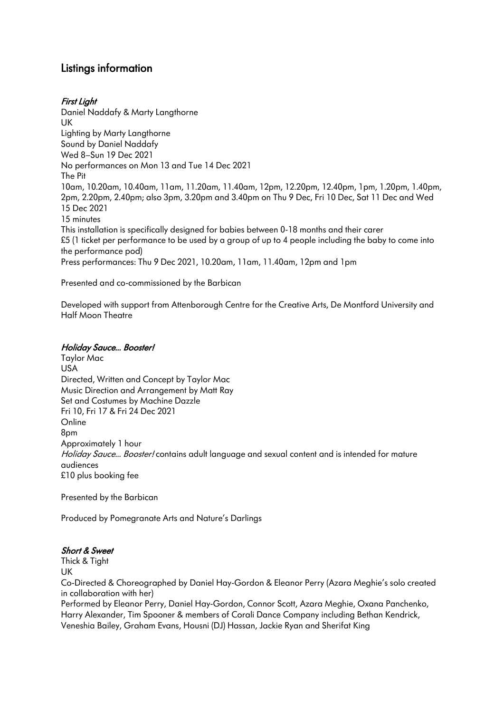# Listings information

# First Light

Daniel Naddafy & Marty Langthorne UK Lighting by Marty Langthorne Sound by Daniel Naddafy Wed 8–Sun 19 Dec 2021 No performances on Mon 13 and Tue 14 Dec 2021 The Pit 10am, 10.20am, 10.40am, 11am, 11.20am, 11.40am, 12pm, 12.20pm, 12.40pm, 1pm, 1.20pm, 1.40pm, 2pm, 2.20pm, 2.40pm; also 3pm, 3.20pm and 3.40pm on Thu 9 Dec, Fri 10 Dec, Sat 11 Dec and Wed 15 Dec 2021 15 minutes This installation is specifically designed for babies between 0-18 months and their carer £5 (1 ticket per performance to be used by a group of up to 4 people including the baby to come into the performance pod) Press performances: Thu 9 Dec 2021, 10.20am, 11am, 11.40am, 12pm and 1pm

Presented and co-commissioned by the Barbican

Developed with support from Attenborough Centre for the Creative Arts, De Montford University and Half Moon Theatre

#### Holiday Sauce… Booster!

Taylor Mac USA Directed, Written and Concept by Taylor Mac Music Direction and Arrangement by Matt Ray Set and Costumes by Machine Dazzle Fri 10, Fri 17 & Fri 24 Dec 2021 **Online** 8pm Approximately 1 hour Holiday Sauce... Booster! contains adult language and sexual content and is intended for mature audiences £10 plus booking fee

Presented by the Barbican

Produced by Pomegranate Arts and Nature's Darlings

#### Short & Sweet

Thick & Tight

UK

Co-Directed & Choreographed by Daniel Hay-Gordon & Eleanor Perry (Azara Meghie's solo created in collaboration with her)

Performed by Eleanor Perry, Daniel Hay-Gordon, Connor Scott, Azara Meghie, Oxana Panchenko, Harry Alexander, Tim Spooner & members of Corali Dance Company including Bethan Kendrick, Veneshia Bailey, Graham Evans, Housni (DJ) Hassan, Jackie Ryan and Sherifat King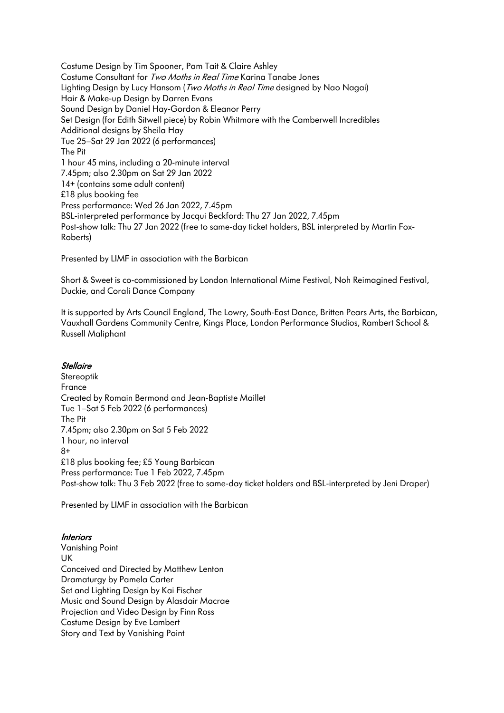Costume Design by Tim Spooner, Pam Tait & Claire Ashley Costume Consultant for Two Moths in Real Time Karina Tanabe Jones Lighting Design by Lucy Hansom (Two Moths in Real Time designed by Nao Nagai) Hair & Make-up Design by Darren Evans Sound Design by Daniel Hay-Gordon & Eleanor Perry Set Design (for Edith Sitwell piece) by Robin Whitmore with the Camberwell Incredibles Additional designs by Sheila Hay Tue 25–Sat 29 Jan 2022 (6 performances) The Pit 1 hour 45 mins, including a 20-minute interval 7.45pm; also 2.30pm on Sat 29 Jan 2022 14+ (contains some adult content) £18 plus booking fee Press performance: Wed 26 Jan 2022, 7.45pm BSL-interpreted performance by Jacqui Beckford: Thu 27 Jan 2022, 7.45pm Post-show talk: Thu 27 Jan 2022 (free to same-day ticket holders, BSL interpreted by Martin Fox-Roberts)

Presented by LIMF in association with the Barbican

Short & Sweet is co-commissioned by London International Mime Festival, Noh Reimagined Festival, Duckie, and Corali Dance Company

It is supported by Arts Council England, The Lowry, South-East Dance, Britten Pears Arts, the Barbican, Vauxhall Gardens Community Centre, Kings Place, London Performance Studios, Rambert School & Russell Maliphant

## **Stellaire**

Stereoptik France Created by Romain Bermond and Jean-Baptiste Maillet Tue 1–Sat 5 Feb 2022 (6 performances) The Pit 7.45pm; also 2.30pm on Sat 5 Feb 2022 1 hour, no interval 8+ £18 plus booking fee; £5 Young Barbican Press performance: Tue 1 Feb 2022, 7.45pm Post-show talk: Thu 3 Feb 2022 (free to same-day ticket holders and BSL-interpreted by Jeni Draper)

Presented by LIMF in association with the Barbican

#### **Interiors**

Vanishing Point UK Conceived and Directed by Matthew Lenton Dramaturgy by Pamela Carter Set and Lighting Design by Kai Fischer Music and Sound Design by Alasdair Macrae Projection and Video Design by Finn Ross Costume Design by Eve Lambert Story and Text by Vanishing Point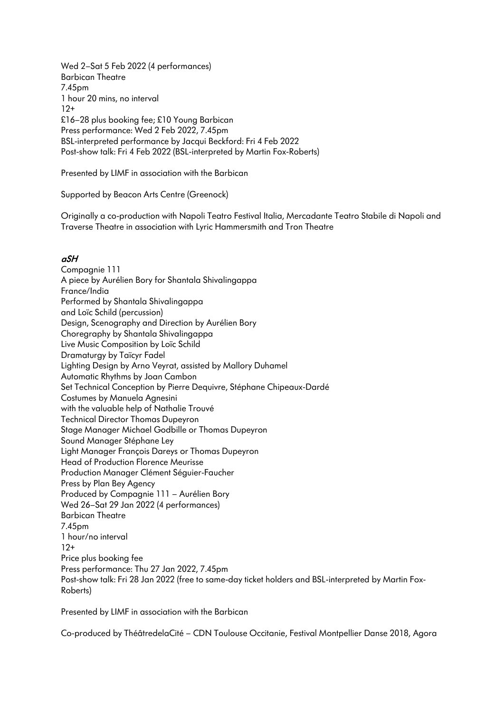Wed 2–Sat 5 Feb 2022 (4 performances) Barbican Theatre 7.45pm 1 hour 20 mins, no interval 12+ £16–28 plus booking fee; £10 Young Barbican Press performance: Wed 2 Feb 2022, 7.45pm BSL-interpreted performance by Jacqui Beckford: Fri 4 Feb 2022 Post-show talk: Fri 4 Feb 2022 (BSL-interpreted by Martin Fox-Roberts)

Presented by LIMF in association with the Barbican

Supported by Beacon Arts Centre (Greenock)

Originally a co-production with Napoli Teatro Festival Italia, Mercadante Teatro Stabile di Napoli and Traverse Theatre in association with Lyric Hammersmith and Tron Theatre

## aSH

Compagnie 111 A piece by Aurélien Bory for Shantala Shivalingappa France/India Performed by Shantala Shivalingappa and Loïc Schild (percussion) Design, Scenography and Direction by Aurélien Bory Choregraphy by Shantala Shivalingappa Live Music Composition by Loïc Schild Dramaturgy by Taïcyr Fadel Lighting Design by Arno Veyrat, assisted by Mallory Duhamel Automatic Rhythms by Joan Cambon Set Technical Conception by Pierre Dequivre, Stéphane Chipeaux-Dardé Costumes by Manuela Agnesini with the valuable help of Nathalie Trouvé Technical Director Thomas Dupeyron Stage Manager Michael Godbille or Thomas Dupeyron Sound Manager Stéphane Ley Light Manager François Dareys or Thomas Dupeyron Head of Production Florence Meurisse Production Manager Clément Séguier-Faucher Press by Plan Bey Agency Produced by Compagnie 111 – Aurélien Bory Wed 26–Sat 29 Jan 2022 (4 performances) Barbican Theatre 7.45pm 1 hour/no interval 12+ Price plus booking fee Press performance: Thu 27 Jan 2022, 7.45pm Post-show talk: Fri 28 Jan 2022 (free to same-day ticket holders and BSL-interpreted by Martin Fox-Roberts)

Presented by LIMF in association with the Barbican

Co-produced by ThéâtredelaCité – CDN Toulouse Occitanie, Festival Montpellier Danse 2018, Agora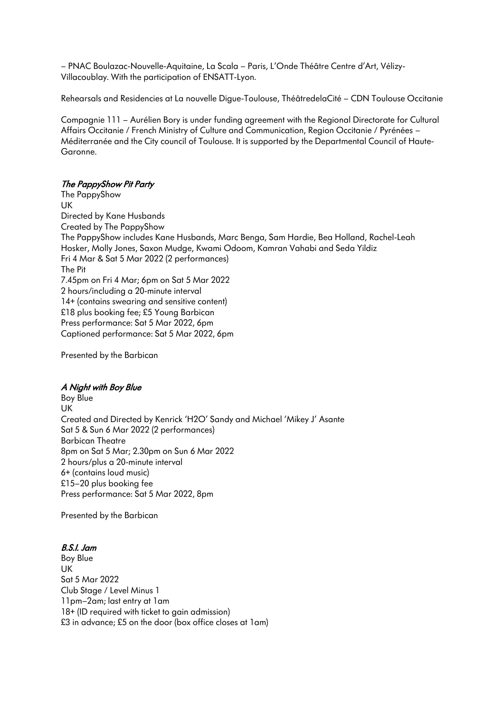– PNAC Boulazac-Nouvelle-Aquitaine, La Scala – Paris, L'Onde Théâtre Centre d'Art, Vélizy-Villacoublay. With the participation of ENSATT-Lyon.

Rehearsals and Residencies at La nouvelle Digue-Toulouse, ThéâtredelaCité – CDN Toulouse Occitanie

Compagnie 111 – Aurélien Bory is under funding agreement with the Regional Directorate for Cultural Affairs Occitanie / French Ministry of Culture and Communication, Region Occitanie / Pyrénées – Méditerranée and the City council of Toulouse. It is supported by the Departmental Council of Haute-Garonne.

## The PappyShow Pit Party

The PappyShow UK Directed by Kane Husbands Created by The PappyShow The PappyShow includes Kane Husbands, Marc Benga, Sam Hardie, Bea Holland, Rachel-Leah Hosker, Molly Jones, Saxon Mudge, Kwami Odoom, Kamran Vahabi and Seda Yildiz Fri 4 Mar & Sat 5 Mar 2022 (2 performances) The Pit 7.45pm on Fri 4 Mar; 6pm on Sat 5 Mar 2022 2 hours/including a 20-minute interval 14+ (contains swearing and sensitive content) £18 plus booking fee; £5 Young Barbican Press performance: Sat 5 Mar 2022, 6pm Captioned performance: Sat 5 Mar 2022, 6pm

Presented by the Barbican

#### A Night with Boy Blue

Boy Blue UK Created and Directed by Kenrick 'H2O' Sandy and Michael 'Mikey J' Asante Sat 5 & Sun 6 Mar 2022 (2 performances) Barbican Theatre 8pm on Sat 5 Mar; 2.30pm on Sun 6 Mar 2022 2 hours/plus a 20-minute interval 6+ (contains loud music) £15–20 plus booking fee Press performance: Sat 5 Mar 2022, 8pm

Presented by the Barbican

#### B.S.I. Jam

Boy Blue UK Sat 5 Mar 2022 Club Stage / Level Minus 1 11pm–2am; last entry at 1am 18+ (ID required with ticket to gain admission) £3 in advance; £5 on the door (box office closes at 1am)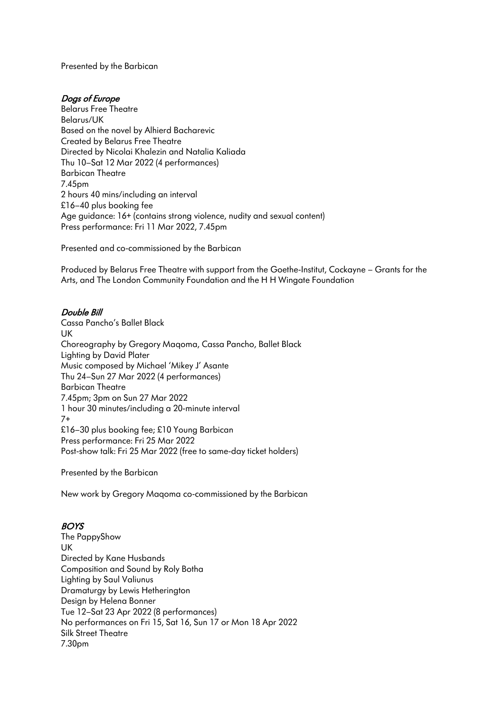Presented by the Barbican

## Dogs of Europe

Belarus Free Theatre Belarus/UK Based on the novel by Alhierd Bacharevic Created by Belarus Free Theatre Directed by Nicolai Khalezin and Natalia Kaliada Thu 10–Sat 12 Mar 2022 (4 performances) Barbican Theatre 7.45pm 2 hours 40 mins/including an interval £16–40 plus booking fee Age guidance: 16+ (contains strong violence, nudity and sexual content) Press performance: Fri 11 Mar 2022, 7.45pm

Presented and co-commissioned by the Barbican

Produced by Belarus Free Theatre with support from the Goethe-Institut, Cockayne – Grants for the Arts, and The London Community Foundation and the H H Wingate Foundation

## Double Bill

Cassa Pancho's Ballet Black UK Choreography by Gregory Maqoma, Cassa Pancho, Ballet Black Lighting by David Plater Music composed by Michael 'Mikey J' Asante Thu 24–Sun 27 Mar 2022 (4 performances) Barbican Theatre 7.45pm; 3pm on Sun 27 Mar 2022 1 hour 30 minutes/including a 20-minute interval 7+ £16–30 plus booking fee; £10 Young Barbican Press performance: Fri 25 Mar 2022 Post-show talk: Fri 25 Mar 2022 (free to same-day ticket holders)

Presented by the Barbican

New work by Gregory Maqoma co-commissioned by the Barbican

# BOYS

The PappyShow UK Directed by Kane Husbands Composition and Sound by Roly Botha Lighting by Saul Valiunus Dramaturgy by Lewis Hetherington Design by Helena Bonner Tue 12–Sat 23 Apr 2022 (8 performances) No performances on Fri 15, Sat 16, Sun 17 or Mon 18 Apr 2022 Silk Street Theatre 7.30pm